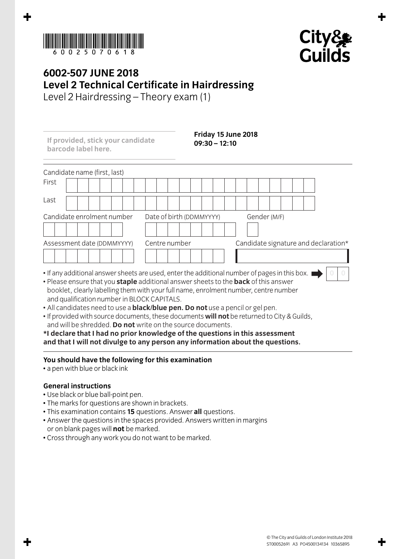



## **6002-507 JUNE 2018 Level 2 Technical Certificate in Hairdressing**

Level 2 Hairdressing – Theory exam (1)

Candidate name (first, last) First Last Candidate enrolment number Date of birth (DDMMYYYY) Gender (M/F) Assessment date (DDMMYYYY) Centre number Candidate signature and declaration\* • If any additional answer sheets are used, enter the additional number of pages in this box. I **0 0 If provided, stick your candidate barcode label here. Friday 15 June 2018 09:30 – 12:10**

- Please ensure that you **staple** additional answer sheets to the **back** of this answer booklet, clearly labelling them with your full name, enrolment number, centre number and qualification number in BLOCK CAPITALS.
- All candidates need to use a **black/blue pen. Do not** use a pencil or gel pen.
- If provided with source documents, these documents **will not** be returned to City & Guilds, and will be shredded. **Do not** write on the source documents.

**\*I declare that I had no prior knowledge of the questions in this assessment and that I will not divulge to any person any information about the questions.**

## **You should have the following for this examination**

• a pen with blue or black ink

## **General instructions**

- Use black or blue ball-point pen.
- The marks for questions are shown in brackets.
- This examination contains **15** questions. Answer **all** questions.
- Answer the questions in the spaces provided. Answers written in margins or on blank pages will **not** be marked.
- Cross through any work you do not want to be marked.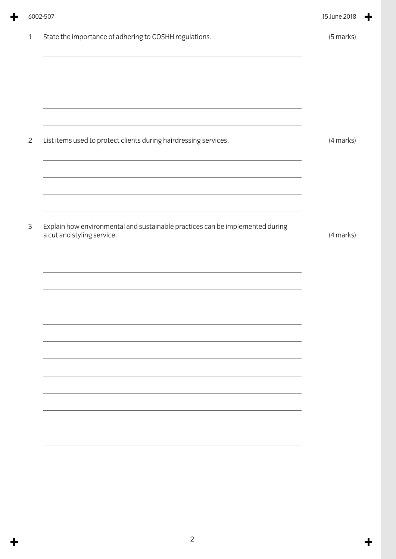| State the importance of adhering to COSHH regulations.<br>and the control of the control of the control of the control of the control of the control of the control of the<br>List items used to protect clients during hairdressing services.<br>Explain how environmental and sustainable practices can be implemented during<br>a cut and styling service. | (5 marks) |
|---------------------------------------------------------------------------------------------------------------------------------------------------------------------------------------------------------------------------------------------------------------------------------------------------------------------------------------------------------------|-----------|
|                                                                                                                                                                                                                                                                                                                                                               |           |
|                                                                                                                                                                                                                                                                                                                                                               | (4 marks) |
|                                                                                                                                                                                                                                                                                                                                                               |           |
|                                                                                                                                                                                                                                                                                                                                                               |           |
|                                                                                                                                                                                                                                                                                                                                                               |           |
|                                                                                                                                                                                                                                                                                                                                                               |           |
|                                                                                                                                                                                                                                                                                                                                                               | (4 marks) |
|                                                                                                                                                                                                                                                                                                                                                               |           |
|                                                                                                                                                                                                                                                                                                                                                               |           |
|                                                                                                                                                                                                                                                                                                                                                               |           |
|                                                                                                                                                                                                                                                                                                                                                               |           |
|                                                                                                                                                                                                                                                                                                                                                               |           |
|                                                                                                                                                                                                                                                                                                                                                               |           |
|                                                                                                                                                                                                                                                                                                                                                               |           |

 $\div$ 

 $\ddagger$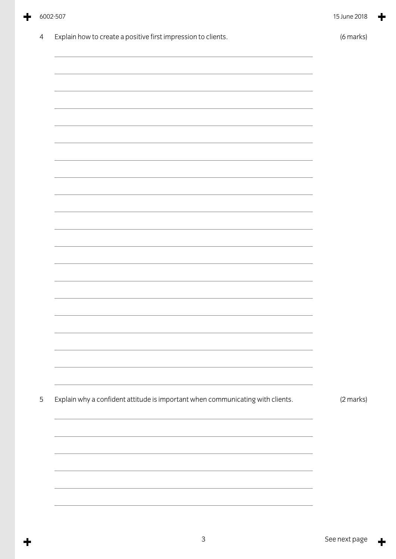| Explain how to create a positive first impression to clients.                  | (6 marks) |
|--------------------------------------------------------------------------------|-----------|
|                                                                                |           |
|                                                                                |           |
|                                                                                |           |
|                                                                                |           |
|                                                                                |           |
|                                                                                |           |
|                                                                                |           |
|                                                                                |           |
|                                                                                |           |
|                                                                                |           |
|                                                                                |           |
|                                                                                |           |
|                                                                                |           |
|                                                                                |           |
|                                                                                |           |
|                                                                                |           |
|                                                                                |           |
|                                                                                |           |
|                                                                                |           |
|                                                                                |           |
| Explain why a confident attitude is important when communicating with clients. | (2 marks) |
|                                                                                |           |
|                                                                                |           |
|                                                                                |           |
|                                                                                |           |
|                                                                                |           |
|                                                                                |           |

 $\ddagger$ 

6002-507 15 June 2018

╋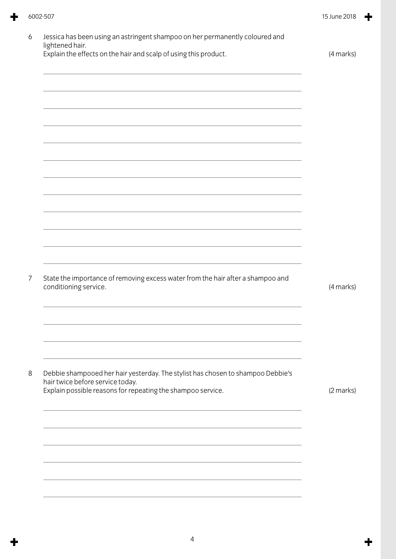| Explain the effects on the hair and scalp of using this product.                                | (4 marks) |
|-------------------------------------------------------------------------------------------------|-----------|
|                                                                                                 |           |
|                                                                                                 |           |
|                                                                                                 |           |
|                                                                                                 |           |
|                                                                                                 |           |
|                                                                                                 |           |
|                                                                                                 |           |
|                                                                                                 |           |
|                                                                                                 |           |
|                                                                                                 |           |
|                                                                                                 |           |
|                                                                                                 |           |
|                                                                                                 |           |
| State the importance of removing excess water from the hair after a shampoo and                 |           |
| conditioning service.                                                                           | (4 marks) |
|                                                                                                 |           |
|                                                                                                 |           |
|                                                                                                 |           |
|                                                                                                 |           |
| Debbie shampooed her hair yesterday. The stylist has chosen to shampoo Debbie's                 |           |
| hair twice before service today.<br>Explain possible reasons for repeating the shampoo service. | (2 marks) |
|                                                                                                 |           |
|                                                                                                 |           |
|                                                                                                 |           |
|                                                                                                 |           |
|                                                                                                 |           |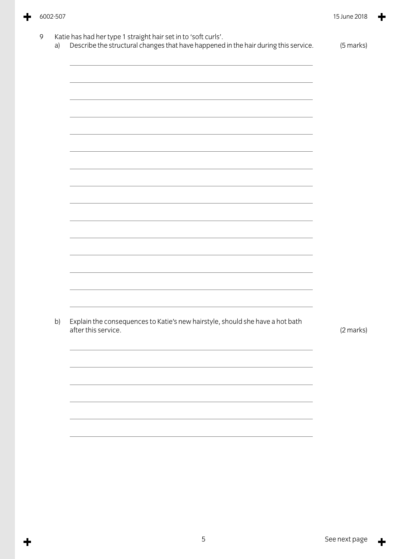$\ddagger$ 

╋

| a) | Describe the structural changes that have happened in the hair during this service. | (5 marks) |
|----|-------------------------------------------------------------------------------------|-----------|
|    |                                                                                     |           |
|    |                                                                                     |           |
|    |                                                                                     |           |
|    |                                                                                     |           |
|    |                                                                                     |           |
|    |                                                                                     |           |
|    |                                                                                     |           |
|    |                                                                                     |           |
|    |                                                                                     |           |
|    |                                                                                     |           |
|    |                                                                                     |           |
|    |                                                                                     |           |
|    |                                                                                     |           |
|    |                                                                                     |           |
| b) | Explain the consequences to Katie's new hairstyle, should she have a hot bath       |           |
|    | after this service.                                                                 | (2 marks) |
|    |                                                                                     |           |
|    |                                                                                     |           |
|    |                                                                                     |           |
|    |                                                                                     |           |
|    |                                                                                     |           |
|    |                                                                                     |           |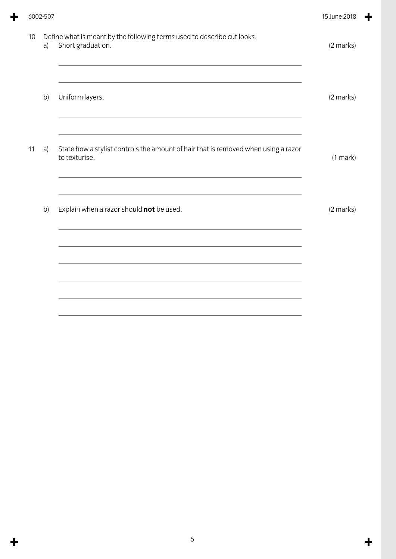|    | 6002-507 |                                                                                                                                                                   | 15 June 2018 |
|----|----------|-------------------------------------------------------------------------------------------------------------------------------------------------------------------|--------------|
| 10 | a)       | Define what is meant by the following terms used to describe cut looks.<br>Short graduation.                                                                      | (2 marks)    |
|    | b)       | Uniform layers.                                                                                                                                                   | (2 marks)    |
| 11 | a)       | State how a stylist controls the amount of hair that is removed when using a razor<br>to texturise.<br><u> 1989 - Johann Stoff, amerikansk politiker (* 1908)</u> | (1 mark)     |
|    | b)       | Explain when a razor should not be used.                                                                                                                          | (2 marks)    |
|    |          |                                                                                                                                                                   |              |
|    |          |                                                                                                                                                                   |              |

 $\ddot{\bullet}$ 

 $\ddot{\mathbf{r}}$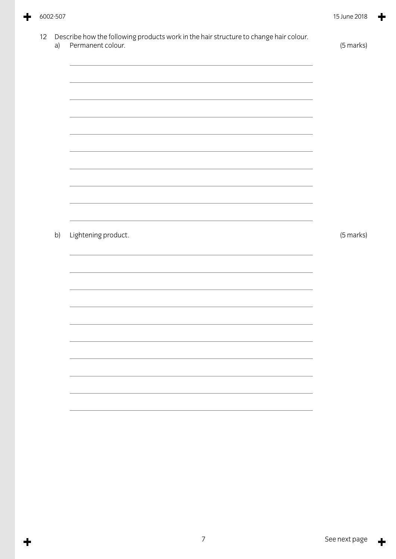$\ddagger$ 

╋

| a) | Describe how the following products work in the hair structure to change hair colour.<br>Permanent colour.            | (5 marks) |
|----|-----------------------------------------------------------------------------------------------------------------------|-----------|
|    |                                                                                                                       |           |
|    |                                                                                                                       |           |
|    |                                                                                                                       |           |
|    | <u> 1989 - Johann Stoff, deutscher Stoffen und der Stoffen und der Stoffen und der Stoffen und der Stoffen und de</u> |           |
|    |                                                                                                                       |           |
|    |                                                                                                                       |           |
|    |                                                                                                                       |           |
|    |                                                                                                                       |           |
| b) | Lightening product.                                                                                                   | (5 marks) |
|    |                                                                                                                       |           |
|    |                                                                                                                       |           |
|    |                                                                                                                       |           |
|    |                                                                                                                       |           |
|    |                                                                                                                       |           |
|    |                                                                                                                       |           |
|    |                                                                                                                       |           |
|    |                                                                                                                       |           |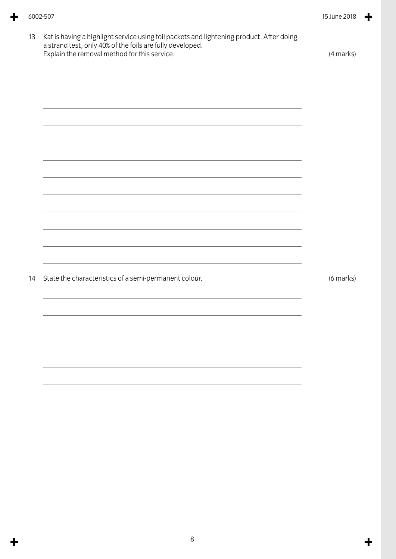| Explain the removal method for this service.          | (4 marks) |
|-------------------------------------------------------|-----------|
|                                                       |           |
|                                                       |           |
|                                                       |           |
|                                                       |           |
|                                                       |           |
|                                                       |           |
|                                                       |           |
|                                                       |           |
|                                                       |           |
|                                                       |           |
| State the characteristics of a semi-permanent colour. | (6 marks) |
|                                                       |           |
|                                                       |           |
|                                                       |           |
|                                                       |           |
|                                                       |           |
|                                                       |           |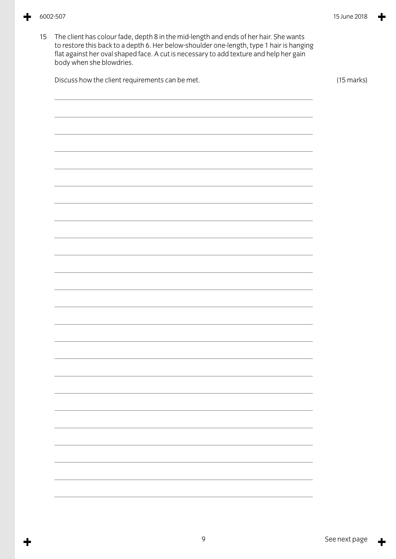15 The client has colour fade, depth 8 in the mid-length and ends of her hair. She wants to restore this back to a depth 6. Her below-shoulder one-length, type 1 hairis hanging flat against her oval shaped face. A cut is necessary to add texture and help her gain body when she blowdries. Discuss how the client requirements can be met. (15 marks)